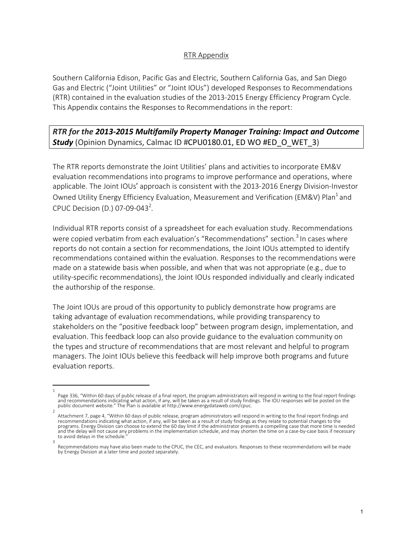## RTR Appendix

Southern California Edison, Pacific Gas and Electric, Southern California Gas, and San Diego Gas and Electric ("Joint Utilities" or "Joint IOUs") developed Responses to Recommendations (RTR) contained in the evaluation studies of the 2013-2015 Energy Efficiency Program Cycle. This Appendix contains the Responses to Recommendations in the report:

## *RTR for the 2013-2015 Multifamily Property Manager Training: Impact and Outcome Study* (Opinion Dynamics, Calmac ID #CPU0180.01, ED WO #ED\_O\_WET\_3)

The RTR reports demonstrate the Joint Utilities' plans and activities to incorporate EM&V evaluation recommendations into programs to improve performance and operations, where applicable. The Joint IOUs' approach is consistent with the 2013-2016 Energy Division-Investor Owned Utility Energy Efficiency Evaluation, Measurement and Verification (EM&V) Plan<sup>1</sup> and CPUC Decision (D.) 07-09-043<sup>2</sup>.

Individual RTR reports consist of a spreadsheet for each evaluation study. Recommendations were copied verbatim from each evaluation's "Recommendations" section.<sup>3</sup> In cases where reports do not contain a section for recommendations, the Joint IOUs attempted to identify recommendations contained within the evaluation. Responses to the recommendations were made on a statewide basis when possible, and when that was not appropriate (e.g., due to utility-specific recommendations), the Joint IOUs responded individually and clearly indicated the authorship of the response.

The Joint IOUs are proud of this opportunity to publicly demonstrate how programs are taking advantage of evaluation recommendations, while providing transparency to stakeholders on the "positive feedback loop" between program design, implementation, and evaluation. This feedback loop can also provide guidance to the evaluation community on the types and structure of recommendations that are most relevant and helpful to program managers. The Joint IOUs believe this feedback will help improve both programs and future evaluation reports.

<sup>1</sup>  Page 336, "Within 60 days of public release of a final report, the program administrators will respond in writing to the final report findings and recommendations indicating what action, if any, will be taken as a result of study findings. The IOU responses will be posted on the public document website." The Plan is available at http://www.energydataweb.com/cpuc. 2

Attachment 7, page 4, "Within 60 days of public release, program administrators will respond in writing to the final report findings and recommendations indicating what action, if any, will be taken as a result of study findings as they relate to potential changes to the programs. Energy Division can choose to extend the 60 day limit if the administrator presents a compelling case that more time is needed and the delay will not cause any problems in the implementation schedule, and may shorten the time on a case-by-case basis if necessary to avoid delays in the schedule.

Recommendations may have also been made to the CPUC, the CEC, and evaluators. Responses to these recommendations will be made by Energy Division at a later time and posted separately.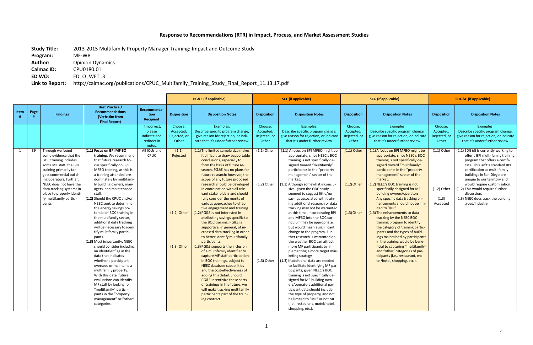## **Response to Recommendations (RTR) in Impact, Process, and Market Assessment Studies**

**Calmac ID:** CPU0180.01<br>**ED WO:** ED O WET **ED WO:** ED\_O\_WET\_3

**Study Title:** 2013-2015 Multifamily Property Manager Training: Impact and Outcome Study

**Program:** MF-WB

Author: Opinion Dynamics

**Link to Report:** http://calmac.org/publications/CPUC\_Multifamily\_Training\_Study\_Final\_Report\_11.13.17.pdf

|      |      |                                                                                                                                                                                                                                            |                                                                                                                                                                                                                                                                                                                                                                                                                                                                                                                                                                                         |                                                                  | <b>PG&amp;E</b> (if applicable)               |                                                                                                                                                                                                                                                                                                                                                                                                                                                                                                                                                                                                                                                                                                                                      | <b>SCE</b> (if applicable)                    |                                                                                                                                                                                                                                                                                                                                                                                                                                                                                                                                                                                                                                                                                                                                      | <b>SCG</b> (if applicable)                    |                                                                                                                                                                                                                                                                                                                                                                                                                                                                                                   | <b>SDG&amp;E (if applicable)</b>              |                                                                                                                                                                                                                                                                                                                 |
|------|------|--------------------------------------------------------------------------------------------------------------------------------------------------------------------------------------------------------------------------------------------|-----------------------------------------------------------------------------------------------------------------------------------------------------------------------------------------------------------------------------------------------------------------------------------------------------------------------------------------------------------------------------------------------------------------------------------------------------------------------------------------------------------------------------------------------------------------------------------------|------------------------------------------------------------------|-----------------------------------------------|--------------------------------------------------------------------------------------------------------------------------------------------------------------------------------------------------------------------------------------------------------------------------------------------------------------------------------------------------------------------------------------------------------------------------------------------------------------------------------------------------------------------------------------------------------------------------------------------------------------------------------------------------------------------------------------------------------------------------------------|-----------------------------------------------|--------------------------------------------------------------------------------------------------------------------------------------------------------------------------------------------------------------------------------------------------------------------------------------------------------------------------------------------------------------------------------------------------------------------------------------------------------------------------------------------------------------------------------------------------------------------------------------------------------------------------------------------------------------------------------------------------------------------------------------|-----------------------------------------------|---------------------------------------------------------------------------------------------------------------------------------------------------------------------------------------------------------------------------------------------------------------------------------------------------------------------------------------------------------------------------------------------------------------------------------------------------------------------------------------------------|-----------------------------------------------|-----------------------------------------------------------------------------------------------------------------------------------------------------------------------------------------------------------------------------------------------------------------------------------------------------------------|
| Item | Page | <b>Findings</b>                                                                                                                                                                                                                            | <b>Best Practice /</b><br><b>Recommendations</b><br>(Verbatim from<br><b>Final Report)</b>                                                                                                                                                                                                                                                                                                                                                                                                                                                                                              | Recommenda-<br>tion<br>Recipient                                 | <b>Disposition</b>                            | <b>Disposition Notes</b>                                                                                                                                                                                                                                                                                                                                                                                                                                                                                                                                                                                                                                                                                                             | <b>Disposition</b>                            | <b>Disposition Notes</b>                                                                                                                                                                                                                                                                                                                                                                                                                                                                                                                                                                                                                                                                                                             | <b>Disposition</b>                            | <b>Disposition Notes</b>                                                                                                                                                                                                                                                                                                                                                                                                                                                                          | <b>Disposition</b>                            | <b>Disposition Notes</b>                                                                                                                                                                                                                                                                                        |
|      |      |                                                                                                                                                                                                                                            |                                                                                                                                                                                                                                                                                                                                                                                                                                                                                                                                                                                         | If incorrect.<br>please<br>indicate and<br>redirect in<br>notes. | Choose:<br>Accepted,<br>Rejected, or<br>Other | Examples:<br>Describe specific program change,<br>give reason for rejection, or indi-<br>cate that it's under further review.                                                                                                                                                                                                                                                                                                                                                                                                                                                                                                                                                                                                        | Choose:<br>Accepted,<br>Rejected, or<br>Other | Examples:<br>Describe specific program change,<br>give reason for rejection, or indicate<br>that it's under further review.                                                                                                                                                                                                                                                                                                                                                                                                                                                                                                                                                                                                          | Choose:<br>Accepted,<br>Rejected, or<br>Other | Examples:<br>Describe specific program change,<br>give reason for rejection, or indicate<br>that it's under further review.                                                                                                                                                                                                                                                                                                                                                                       | Choose:<br>Accepted,<br>Rejected, or<br>Other | Examples:<br>Describe specific program change<br>give reason for rejection, or indicate<br>that it's under further review.                                                                                                                                                                                      |
| 1    | 39   | Through we found<br>some evidence that the<br><b>BOC training includes</b><br>some MF staff, the BOC<br>training primarily tar-<br>gets commercial build-<br>ing operators. Further,<br>NEEC does not have the<br>data tracking systems in | (1.1) Focus on BPI MF BO<br>training. We recommend<br>that future research fo-<br>cus specifically on BPI<br>MFBO training, as this is<br>a training attended pre-<br>dominately by multifami-<br>ly building owners, man-<br>agers, and maintenance                                                                                                                                                                                                                                                                                                                                    | All IOUs and<br><b>CPUC</b>                                      | (1.1)<br>Rejected                             | (1.1) The limited sample size makes<br>it difficult to draw supportable<br>conclusions, especially to<br>form the basis of future re-<br>search. PG&E has no plans for<br>future research; however, the<br>scope of any future proposed<br>research should be developed<br>in coordination with all rele-                                                                                                                                                                                                                                                                                                                                                                                                                            | $(1.1)$ Other<br>$(1.2)$ Other                | (1.1) A focus on BPI MFBO might be<br>appropriate, since NEEC's BOC<br>training is not specifically de-<br>signed toward "multifamily"<br>participants in the "property"<br>management" sector of the<br>market.<br>(1.2) Although somewhat inconclu-<br>sive, given the ODC study                                                                                                                                                                                                                                                                                                                                                                                                                                                   | $(1.1)$ Other<br>$(1.2)$ Other                | (1.1) A focus on BPI MFBO might be<br>appropriate, since NEEC's BOC<br>training is not specifically de-<br>signed toward "multifamily"<br>participants in the "property"<br>management" sector of the<br>market.<br>(1.2) NEEC's BOC training is not<br>specifically designed for MF                                                                                                                                                                                                              | $(1.1)$ Other<br>$(1.2)$ Other                | (1.1) SDG&E is currently working to<br>offer a BPI multi-family training<br>program that offers a certifi-<br>cate. This isn't a standard BPI<br>certification as multi-family<br>buildings in San Diego are<br>unique to our territory and<br>would require customization.<br>(1.2) This would require further |
|      |      | place to properly identi-<br>fy multifamily partici-<br>pants.                                                                                                                                                                             | staff.<br>(1.2) Should the CPUC and/or<br>NEEC seek to determine<br>the energy savings po-<br>tential of BOC training in<br>the multifamily sector,<br>additional data tracking<br>will be necessary to iden-<br>tify multifamily partici-<br>pants.<br>(1.3) Most importantly, NEEC<br>should consider including<br>an identifier flag in the<br>data that indicates<br>whether a participant<br>oversees or maintains a<br>multifamily property.<br>With this data, future<br>evaluations can identify<br>MF staff by looking for<br>"multifamily" partici-<br>pants in the "property |                                                                  | $(1.2)$ Other<br>$(1.3)$ Other                | vant stakeholders and should<br>fully consider the merits of<br>various approaches to effec-<br>tive engagement and training.<br>(1.2) PG&E is not interested in<br>attributing savings specific to<br>the BOC training. PG&E is<br>supportive, in general, of in-<br>creased data tracking in order<br>to better identify multifamily<br>participants.<br>(1.3) PG&E supports the inclusion<br>of a multifamily identifier to<br>capture MF staff participation<br>in BOC trainings, subject to<br>NEEC database capabilities<br>and the cost-effectiveness of<br>adding this detail. Should<br>PG&E incentivize these sorts<br>of trainings in the future, we<br>will make tracking multifamily<br>participants part of the train- | $(1.3)$ Other                                 | seemed to suggest little/no<br>savings associated with train-<br>ing additional research or data<br>tracking may not be warranted<br>at this time. Incorporating BPI<br>and MFBO into the BOC cur-<br>riculum may be appropriate,<br>but would mean a significant<br>change to the program. Fur-<br>ther research is warranted on<br>the weather BOC can attract<br>more MF participants by im-<br>plementing a more target mar-<br>keting strategy.<br>(1.3) If additional data are needed<br>to facilitate identifying MF par-<br>ticipants, given NEEC's BOC<br>training is not specifically de-<br>signed for MF building own-<br>ers/operators additional par-<br>ticipant data should include<br>the type of property, and not | $(1.3)$ Other                                 | building owners/operators.<br>Any specific data tracking en-<br>hancements should not be lim-<br>ited to "MF".<br>(1.3) The enhancements to data<br>tracking by the NEEC BOC<br>training program to identify<br>the category of training partic-<br>ipants and the types of build-<br>ings maintained by participants<br>in the training would be bene-<br>ficial to capturing "multifamily"<br>and "other' categories of par-<br>ticipants (i.e., restaurant, mo-<br>tel/hotel, shopping, etc.). | (1.3)<br>Accepted                             | discussion.<br>(1.3) NEEC does track the building<br>types/industry.                                                                                                                                                                                                                                            |
|      |      |                                                                                                                                                                                                                                            | management" or "other"<br>categories.                                                                                                                                                                                                                                                                                                                                                                                                                                                                                                                                                   |                                                                  |                                               | ing contract.                                                                                                                                                                                                                                                                                                                                                                                                                                                                                                                                                                                                                                                                                                                        |                                               | be limited to "MF" or not MF.<br>(i.e., restaurant, motel/hotel,<br>shopping, etc.).                                                                                                                                                                                                                                                                                                                                                                                                                                                                                                                                                                                                                                                 |                                               |                                                                                                                                                                                                                                                                                                                                                                                                                                                                                                   |                                               |                                                                                                                                                                                                                                                                                                                 |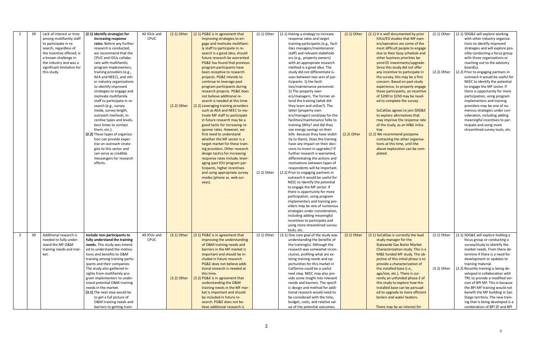| 2              | 39 | Lack of interest or time   | (2.1) Identify strategies for   | All IOUs and | $(2.1)$ Other | (2.1) PG&E is in agreement that     | $(2.1)$ Other | (2.1) Having a strategy to increase  | $(2.1)$ Other | (2.1) It is well documented by prior | $(2.1)$ Other | (2.1) SDG&E will explore working     |
|----------------|----|----------------------------|---------------------------------|--------------|---------------|-------------------------------------|---------------|--------------------------------------|---------------|--------------------------------------|---------------|--------------------------------------|
|                |    | among multifamily staff    | increasing response             | CPUC         |               | improving strategies to en-         |               | response rates and target            |               | IOUs/ED studies that MF own-         |               | with other industry organiza-        |
|                |    | to participate in re-      | rates. Before any further       |              |               | gage and motivate multifami-        |               | training participants (e.g., facil-  |               | ers/operators are some of the        |               | tions to identify improved           |
|                |    | search, regardless of      | research is conducted,          |              |               | ly staff to participate in re-      |               | ities managers/maintenance           |               | most difficult people to engage      |               | strategies and will explore pos-     |
|                |    | the incentive offered, is  | we recommend that the           |              |               | search is a good idea, should       |               | staff) and relevant stakehold-       |               | due to their busy schedule and       |               | sibly conducting a focus group       |
|                |    | a known challenge in       | CPUC and IOUs collabo-          |              |               | future research be warranted.       |               | ers (e.g., property owners)          |               | other business priorities be-        |               | with those organizations or          |
|                |    | the industry and was a     | rate with multifamily           |              |               | PG&E has found that previous        |               | with an appropriate research         |               | yond EE investments/upgrade.         |               | reaching out to the advisory         |
|                |    | significant limitation for | program implementers,           |              |               | program participants have           |               | method is a good idea. The           |               | Since this study did not offer       |               | board(s).                            |
|                |    | this study.                | training providers (e.g.,       |              |               | been receptive to research          |               | study did not differentiate is-      |               | any incentive to participate in      | $(2.2)$ Other | (2.2) Prior to engaging partners in  |
|                |    |                            | AEA and NEEC), and oth-         |              |               | projects. PG&E intends to           |               | sues between two sets of par-        |               | the survey, this may be a first      |               | outreach it would be useful for      |
|                |    |                            | er industry organizations       |              |               | continue to leverage past           |               | ticipants: 1) the facili-            |               | concern. Based on past study         |               | NEEC to identify the potential       |
|                |    |                            | to identify improved            |              |               | program participants during         |               | ties/maintenance personnel.          |               | experience, to properly engage       |               | to engage the MF sector. If          |
|                |    |                            | strategies to engage and        |              |               | research projects. PG&E does        |               | 2) The property own-                 |               | these participants, an incentive     |               | there is opportunity for more        |
|                |    |                            | motivate multifamily            |              |               | not believe additional re-          |               | ers/managers. The former at-         |               | of \$200 to \$250 may be need-       |               | participation, using program         |
|                |    |                            | staff to participate in re-     |              |               | search is needed at this time.      |               | tend the training (what did          |               | ed to complete the survey.           |               | implementers and training            |
|                |    |                            | search (e.g., survey            |              | $(2.2)$ Other | (2.2) Leveraging training providers |               | they learn and utilize?). The        |               |                                      |               | providers may be one of nu-          |
|                |    |                            | mode, survey length,            |              |               | such as AEA and NEEC to mo-         |               | latter (property own-                |               | SoCalGas agrees to join SDG&E        |               | merous strategies under con-         |
|                |    |                            | outreach methods, in-           |              |               | tivate MF staff to participate      |               | ers/manager) send/pay for the        |               | to explore alternatives that         |               | sideration, including adding         |
|                |    |                            | centive types and levels,       |              |               | in future research may be a         |               | facilities/maintenance folks to      |               | may improve the response rate        |               | meaningful incentives to par-        |
|                |    |                            | best times to contact           |              |               | good tactic for increasing re-      |               | training (Why? and did they          |               | of the study, as an M&E initia-      |               | ticipate and using more              |
|                |    |                            | them, etc.).                    |              |               | sponse rates. However, we           |               | see energy savings on their          |               | tive.                                |               | streamlined survey tools, etc.       |
|                |    |                            | (2.2) These types of organiza-  |              |               | first need to understand            |               | bills -because they have visibil-    | $(2.2)$ Other | (2.2) We recommend postpone          |               |                                      |
|                |    |                            | tion can provide exper-         |              |               | whether the MF sector is a          |               | ity to them). Does the training      |               | contacting the other organiza-       |               |                                      |
|                |    |                            | tise on outreach strate-        |              |               | target market for these train-      |               | have any impact on their deci-       |               | tions at this time, until the        |               |                                      |
|                |    |                            | gies to this sector and         |              |               | ing providers. Other research       |               | sions to invest in upgrades? If      |               | above exploration can be com-        |               |                                      |
|                |    |                            | can serve as credible           |              |               | design tactics for increasing       |               | further research is warranted,       |               | pleted.                              |               |                                      |
|                |    |                            | messengers for research         |              |               | response rates include, lever-      |               | differentiating the actions and      |               |                                      |               |                                      |
|                |    |                            | efforts.                        |              |               | aging past IOU program par-         |               | motivations between types of         |               |                                      |               |                                      |
|                |    |                            |                                 |              |               | ticipants, higher incentives        |               | respondents will be important.       |               |                                      |               |                                      |
|                |    |                            |                                 |              |               | and using appropriate survey        | $(2.2)$ Other | (2.2) Prior to engaging partners in  |               |                                      |               |                                      |
|                |    |                            |                                 |              |               | modes (phone vs. web sur-           |               | outreach it would be useful for      |               |                                      |               |                                      |
|                |    |                            |                                 |              |               | veys).                              |               | NEEC to identify the potential       |               |                                      |               |                                      |
|                |    |                            |                                 |              |               |                                     |               | to engage the MF sector. If          |               |                                      |               |                                      |
|                |    |                            |                                 |              |               |                                     |               | there is opportunity for more        |               |                                      |               |                                      |
|                |    |                            |                                 |              |               |                                     |               | participation, using program         |               |                                      |               |                                      |
|                |    |                            |                                 |              |               |                                     |               | implementers and training pro-       |               |                                      |               |                                      |
|                |    |                            |                                 |              |               |                                     |               | viders may be one of numerous        |               |                                      |               |                                      |
|                |    |                            |                                 |              |               |                                     |               | strategies under consideration,      |               |                                      |               |                                      |
|                |    |                            |                                 |              |               |                                     |               | including adding meaningful          |               |                                      |               |                                      |
|                |    |                            |                                 |              |               |                                     |               | incentives to participate and        |               |                                      |               |                                      |
|                |    |                            |                                 |              |               |                                     |               | using more streamlined survey        |               |                                      |               |                                      |
|                |    |                            |                                 |              |               |                                     |               | tools, etc.                          |               |                                      |               |                                      |
| $\overline{3}$ | 39 | Additional research is     | Include non-participants to     | All IOUs and | $(3.1)$ Other | (3.1) PG&E is in agreement that     | $(3.1)$ Other | (3.1) One core goal of the study was | $(3.1)$ Other | (3.1) SoCalGas is currently the lead | $(3.1)$ Other | (3.1) SDG&E will explore holding a   |
|                |    | needed to fully under-     | fully understand the training   | CPUC         |               | improving the understanding         |               | understanding the benefits of        |               | study manager for the                |               | focus group or conducting a          |
|                |    | stand the MF O&M           | needs. This study was intend-   |              |               | of O&M training needs and           |               | the training(s). Although the        |               | <b>Statewide Gas Boiler Market</b>   |               | survey/study to identify the         |
|                |    | training needs and mar     | ed to understand the motiva-    |              |               | barriers in the MF market is        |               | research was somewhat incon-         |               | Characterization study. This is a    |               | market needs. From there de-         |
|                |    | ket.                       | tions and benefits to O&M       |              |               | important and should be in-         |               | clusive, profiling what are ex-      |               | M&E funded MF study. The ob-         |               | termine if there is a need for       |
|                |    |                            | training among training partic- |              |               | cluded in future research.          |               | isting training needs and op-        |               | jective of this initial phase is to  |               | development or updates to            |
|                |    |                            | ipants and their companies.     |              |               | PG&E does not believe addi-         |               | portunities for this market in       |               | provide a characterization of        |               | training material.                   |
|                |    |                            | The study also gathered in-     |              |               | tional research is needed at        |               | California could be a useful         |               | the installed base (i.e.,            | $(3.2)$ Other | (3.2) Recently training is being de- |
|                |    |                            | sights from multifamily pro-    |              |               | this time.                          |               | next step. NEEC may also pro-        |               | age/size, etc.). There is cur-       |               | veloped in collaboration with        |
|                |    |                            | gram implementers to under-     |              | $(3.2)$ Other | (3.2) PG&E is in agreement that     |               | vide some insight into relevant      |               | rently an unfunded phase-2 of        |               | TRC to provide a modified ver-       |
|                |    |                            | stand potential O&M training    |              |               | understanding the O&M               |               | needs and barriers. The specif-      |               | this study to explore how this       |               | sion of BPI MF. This is because      |
|                |    |                            | needs in the market.            |              |               | training needs in the MF mar-       |               | ic design and method for addi-       |               | installed base can be persuad-       |               | the BPI MF training would not        |
|                |    |                            | (3.1) The next step would be    |              |               | ket is important and should         |               | tional research would need to        |               | ed to upgrade to more efficient      |               | benefit the MF building in San       |
|                |    |                            | to get a full picture of        |              |               | be included in future re-           |               | be considered with the time,         |               | boilers and water heaters.           |               | Diego territory. The new train-      |
|                |    |                            | O&M training needs and          |              |               | search. PG&E does not be-           |               | budget, costs, and relative val-     |               |                                      |               | ing that is being developed is a     |
|                |    |                            | barriers to getting train-      |              |               | lieve additional research is        |               | ue of the potential outcomes.        |               | There may be an interest for         |               | combination of BPI SF and BPI        |